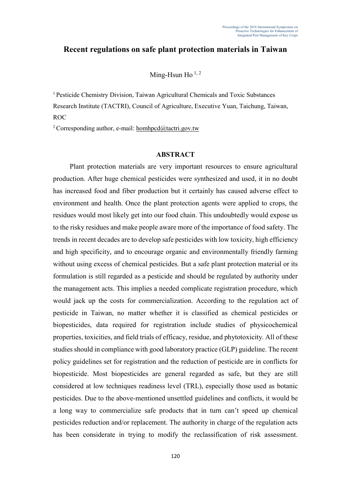## **Recent regulations on safe plant protection materials in Taiwan**

## Ming-Hsun Ho  $^{1, 2}$

<sup>1</sup>Pesticide Chemistry Division, Taiwan Agricultural Chemicals and Toxic Substances Research Institute (TACTRI), Council of Agriculture, Executive Yuan, Taichung, Taiwan, ROC

<sup>2</sup> Corresponding author, e-mail: homhpcd@tactri.gov.tw

## **ABSTRACT**

Plant protection materials are very important resources to ensure agricultural production. After huge chemical pesticides were synthesized and used, it in no doubt has increased food and fiber production but it certainly has caused adverse effect to environment and health. Once the plant protection agents were applied to crops, the residues would most likely get into our food chain. This undoubtedly would expose us to the risky residues and make people aware more of the importance of food safety. The trends in recent decades are to develop safe pesticides with low toxicity, high efficiency and high specificity, and to encourage organic and environmentally friendly farming without using excess of chemical pesticides. But a safe plant protection material or its formulation is still regarded as a pesticide and should be regulated by authority under the management acts. This implies a needed complicate registration procedure, which would jack up the costs for commercialization. According to the regulation act of pesticide in Taiwan, no matter whether it is classified as chemical pesticides or biopesticides, data required for registration include studies of physicochemical properties, toxicities, and field trials of efficacy, residue, and phytotoxicity. All of these studies should in compliance with good laboratory practice (GLP) guideline. The recent policy guidelines set for registration and the reduction of pesticide are in conflicts for biopesticide. Most biopesticides are general regarded as safe, but they are still considered at low techniques readiness level (TRL), especially those used as botanic pesticides. Due to the above-mentioned unsettled guidelines and conflicts, it would be a long way to commercialize safe products that in turn can't speed up chemical pesticides reduction and/or replacement. The authority in charge of the regulation acts has been considerate in trying to modify the reclassification of risk assessment.